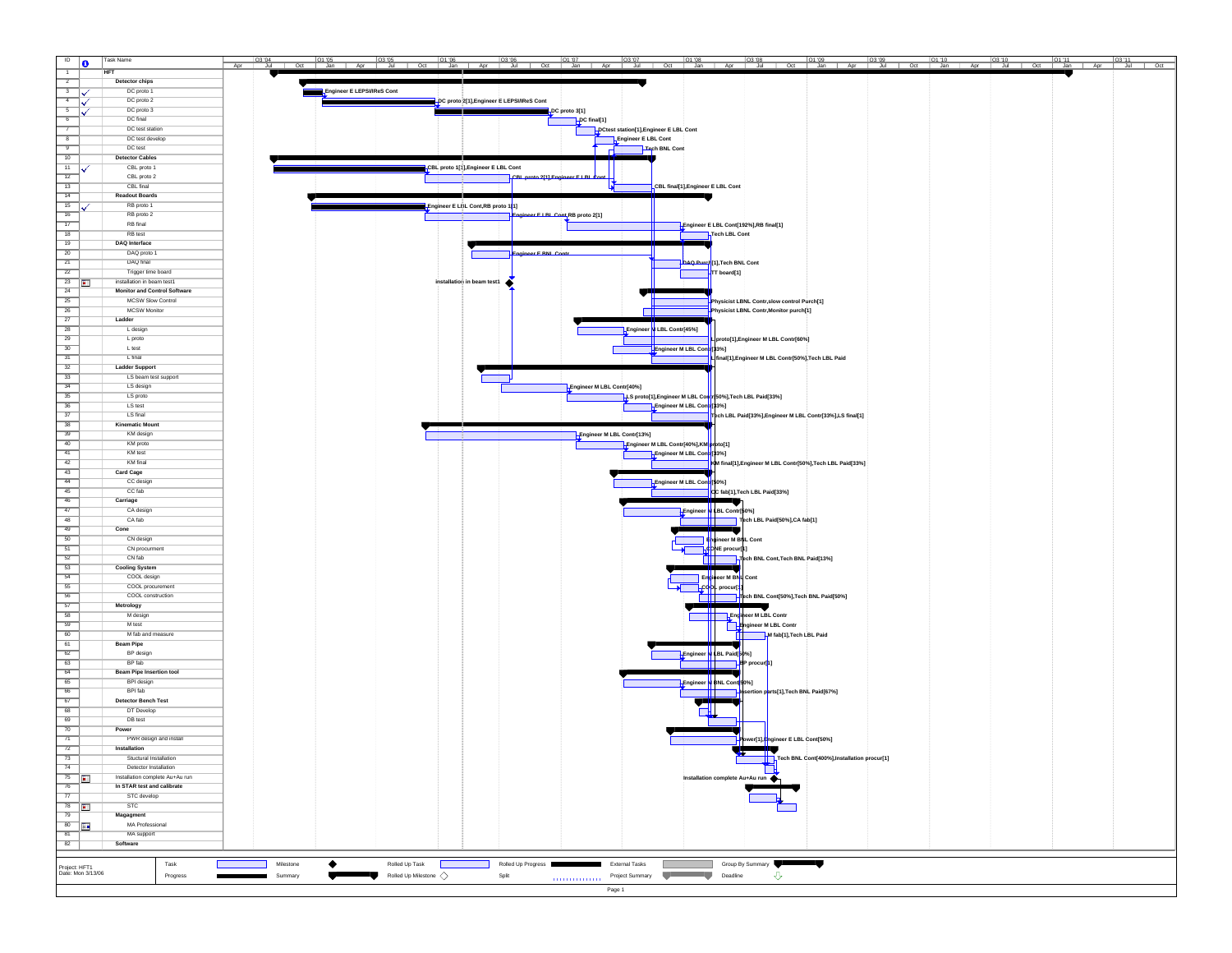